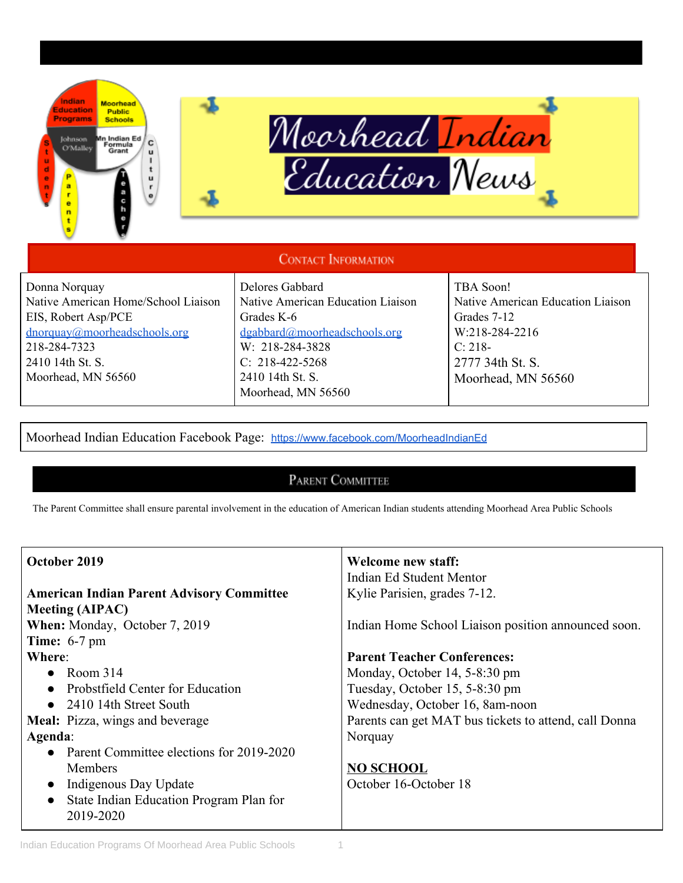





## **CONTACT INFORMATION**

**SEQUOIA CLUB**

Donna Norquay Native American Home/School Liaison EIS, Robert Asp/PCE [dnorquay@moorheadschools.org](mailto:dnorquay@moorheadschools.org) 218-284-7323 2410 14th St. S. Moorhead, MN 56560

Delores Gabbard Native American Education Liaison Grades K-6 [dgabbard@moorheadschools.org](mailto:dgabbard@moorheadschools.org) W: 218-284-3828 C: 218-422-5268 2410 14th St. S. Moorhead, MN 56560

TBA Soon! Native American Education Liaison Grades 7-12 W:218-284-2216 C: 218- 2777 34th St. S. Moorhead, MN 56560

Moorhead Indian Education Facebook Page: [https://www.facebook.com/MoorheadIndianEd](https://www.facebook.com/Moorhead-Indian-Education-345494942315047/)

## PARENT COMMITTEE

The Parent Committee shall ensure parental involvement in the education of American Indian students attending Moorhead Area Public Schools

| October 2019                                          | Welcome new staff:<br>Indian Ed Student Mentor        |  |
|-------------------------------------------------------|-------------------------------------------------------|--|
| <b>American Indian Parent Advisory Committee</b>      | Kylie Parisien, grades 7-12.                          |  |
| <b>Meeting (AIPAC)</b>                                |                                                       |  |
| When: Monday, October 7, 2019                         | Indian Home School Liaison position announced soon.   |  |
| <b>Time:</b> 6-7 pm                                   |                                                       |  |
| Where:                                                | <b>Parent Teacher Conferences:</b>                    |  |
| • Room $314$                                          | Monday, October 14, 5-8:30 pm                         |  |
| • Probstfield Center for Education                    | Tuesday, October 15, 5-8:30 pm                        |  |
| $\bullet$ 2410 14th Street South                      | Wednesday, October 16, 8am-noon                       |  |
| <b>Meal:</b> Pizza, wings and beverage                | Parents can get MAT bus tickets to attend, call Donna |  |
| Agenda:                                               | Norquay                                               |  |
| Parent Committee elections for 2019-2020<br>$\bullet$ |                                                       |  |
| <b>Members</b>                                        | <b>NO SCHOOL</b>                                      |  |
| Indigenous Day Update                                 | October 16-October 18                                 |  |
| State Indian Education Program Plan for<br>2019-2020  |                                                       |  |
|                                                       |                                                       |  |